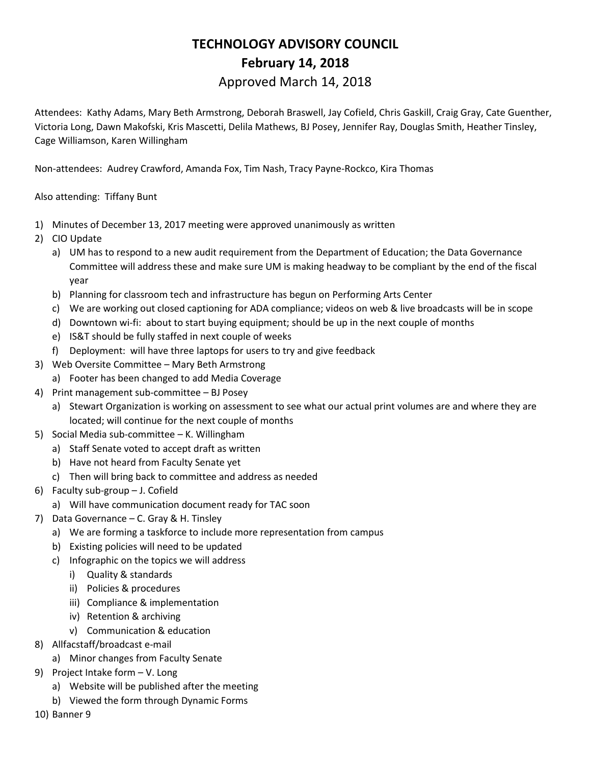## **TECHNOLOGY ADVISORY COUNCIL February 14, 2018**

## Approved March 14, 2018

Attendees: Kathy Adams, Mary Beth Armstrong, Deborah Braswell, Jay Cofield, Chris Gaskill, Craig Gray, Cate Guenther, Victoria Long, Dawn Makofski, Kris Mascetti, Delila Mathews, BJ Posey, Jennifer Ray, Douglas Smith, Heather Tinsley, Cage Williamson, Karen Willingham

Non-attendees: Audrey Crawford, Amanda Fox, Tim Nash, Tracy Payne-Rockco, Kira Thomas

## Also attending: Tiffany Bunt

- 1) Minutes of December 13, 2017 meeting were approved unanimously as written
- 2) CIO Update
	- a) UM has to respond to a new audit requirement from the Department of Education; the Data Governance Committee will address these and make sure UM is making headway to be compliant by the end of the fiscal year
	- b) Planning for classroom tech and infrastructure has begun on Performing Arts Center
	- c) We are working out closed captioning for ADA compliance; videos on web & live broadcasts will be in scope
	- d) Downtown wi-fi: about to start buying equipment; should be up in the next couple of months
	- e) IS&T should be fully staffed in next couple of weeks
	- f) Deployment: will have three laptops for users to try and give feedback
- 3) Web Oversite Committee Mary Beth Armstrong
	- a) Footer has been changed to add Media Coverage
- 4) Print management sub-committee BJ Posey
	- a) Stewart Organization is working on assessment to see what our actual print volumes are and where they are located; will continue for the next couple of months
- 5) Social Media sub-committee K. Willingham
	- a) Staff Senate voted to accept draft as written
	- b) Have not heard from Faculty Senate yet
	- c) Then will bring back to committee and address as needed
- 6) Faculty sub-group J. Cofield
	- a) Will have communication document ready for TAC soon
- 7) Data Governance C. Gray & H. Tinsley
	- a) We are forming a taskforce to include more representation from campus
	- b) Existing policies will need to be updated
	- c) Infographic on the topics we will address
		- i) Quality & standards
		- ii) Policies & procedures
		- iii) Compliance & implementation
		- iv) Retention & archiving
		- v) Communication & education
- 8) Allfacstaff/broadcast e-mail
	- a) Minor changes from Faculty Senate
- 9) Project Intake form V. Long
	- a) Website will be published after the meeting
	- b) Viewed the form through Dynamic Forms
- 10) Banner 9